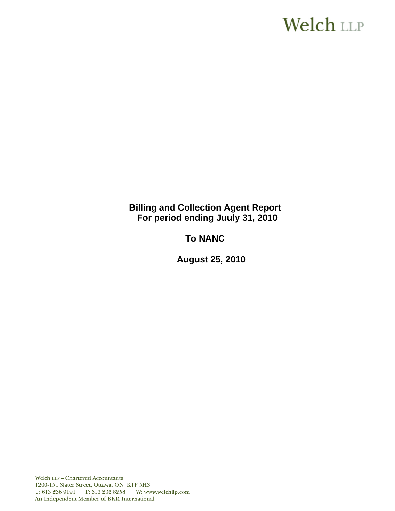# **Welch LLP**

**Billing and Collection Agent Report For period ending Juuly 31, 2010**

**To NANC** 

 **August 25, 2010**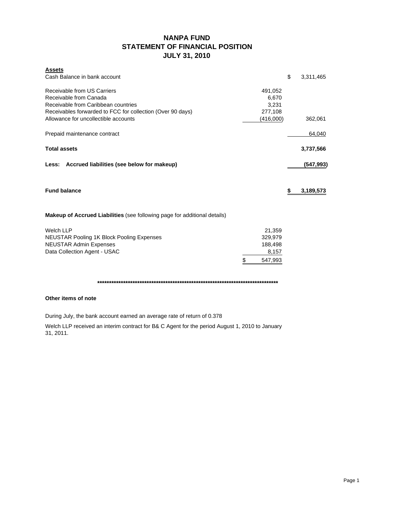# **NANPA FUND STATEMENT OF FINANCIAL POSITION JULY 31, 2010**

| <b>Assets</b>                                                                    |               |                 |
|----------------------------------------------------------------------------------|---------------|-----------------|
| Cash Balance in bank account                                                     |               | \$<br>3,311,465 |
| Receivable from US Carriers                                                      | 491,052       |                 |
| Receivable from Canada                                                           | 6,670         |                 |
| Receivable from Caribbean countries                                              | 3.231         |                 |
| Receivables forwarded to FCC for collection (Over 90 days)                       | 277,108       |                 |
| Allowance for uncollectible accounts                                             | (416,000)     | 362,061         |
| Prepaid maintenance contract                                                     |               | 64,040          |
| <b>Total assets</b>                                                              |               | 3,737,566       |
|                                                                                  |               |                 |
| Less: Accrued liabilities (see below for makeup)                                 |               | (547, 993)      |
| <b>Fund balance</b>                                                              |               | \$<br>3,189,573 |
|                                                                                  |               |                 |
| <b>Makeup of Accrued Liabilities</b> (see following page for additional details) |               |                 |
| <b>Welch LLP</b>                                                                 | 21,359        |                 |
| <b>NEUSTAR Pooling 1K Block Pooling Expenses</b>                                 | 329,979       |                 |
| <b>NEUSTAR Admin Expenses</b>                                                    | 188,498       |                 |
| Data Collection Agent - USAC                                                     | 8,157         |                 |
|                                                                                  | \$<br>547,993 |                 |

**\*\*\*\*\*\*\*\*\*\*\*\*\*\*\*\*\*\*\*\*\*\*\*\*\*\*\*\*\*\*\*\*\*\*\*\*\*\*\*\*\*\*\*\*\*\*\*\*\*\*\*\*\*\*\*\*\*\*\*\*\*\*\*\*\*\*\*\*\*\*\*\*\*\*\*\*\***

#### **Other items of note**

During July, the bank account earned an average rate of return of 0.378

Welch LLP received an interim contract for B& C Agent for the period August 1, 2010 to January 31, 2011.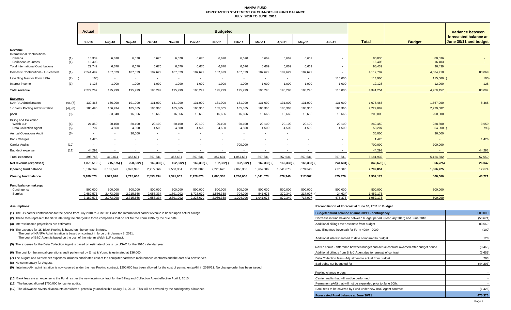#### **NANPA FUND FORECASTED STATEMENT OF CHANGES IN FUND BALANCEJULY 2010 TO JUNE 2011**

|                                                                     |            | Actual                   |                          |                        |                          | <b>Budgeted</b>          |                        |                          |                      |                          |                          |                    |                    |                        | Variance between  |                                                |  |
|---------------------------------------------------------------------|------------|--------------------------|--------------------------|------------------------|--------------------------|--------------------------|------------------------|--------------------------|----------------------|--------------------------|--------------------------|--------------------|--------------------|------------------------|-------------------|------------------------------------------------|--|
|                                                                     |            | <b>Jul-10</b>            | Aug-10                   | Sep-10                 | Oct-10                   | <b>Nov-10</b>            | <b>Dec-10</b>          | $Jan-11$                 | Feb-11               | Mar-11                   | Apr-11                   | $May-11$           | <b>Jun-11</b>      | <b>Total</b>           | <b>Budget</b>     | forecasted balance at<br>June 30/11 and budget |  |
| Revenue                                                             |            |                          |                          |                        |                          |                          |                        |                          |                      |                          |                          |                    |                    |                        |                   |                                                |  |
| <b>International Contributions</b><br>Canada<br>Caribbean countries | (1)<br>(1) | 13,339<br>16.403         | 6,670                    | 6,670                  | 6,670                    | 6,670                    | 6,670                  | 6,670                    | 6,670                | 6,669                    | 6,669                    | 6,669              |                    | 80,036<br>16,403       | 80,036<br>16,403  |                                                |  |
| <b>Total International Contributions</b>                            |            | 29,742                   | 6,670                    | 6,670                  | 6,670                    | 6,670                    | 6,670                  | 6,670                    | 6,670                | 6,669                    | 6,669                    | 6,669              |                    | 96,439                 | 96,439            |                                                |  |
| Domestic Contributions - US carriers                                | (1)        | 2,241,497                | 187,629                  | 187,629                | 187,629                  | 187,629                  | 187,629                | 187,629                  | 187,629              | 187,629                  | 187,629                  | 187,629            |                    | 4,117,787              | 4,034,718         | 83,069                                         |  |
| Late filing fees for Form 499A                                      | (2)        | 100)                     | $\overline{\phantom{a}}$ | $\sim$                 | $\overline{\phantom{a}}$ | $\overline{\phantom{a}}$ | $\sim$                 | $\overline{\phantom{a}}$ | $\sim$               | $\overline{\phantom{a}}$ | $\overline{\phantom{a}}$ | $\sim$             | 115,000            | 114,900                | 115,000           | 100)                                           |  |
| Interest income                                                     | (3)        | 1,128                    | 1,000                    | 1,000                  | 1,000                    | 1,000                    | 1,000                  | 1,000                    | 1,000                | 1,000                    | 1,000                    | 1,000              | 1,000              | 12,128                 | 12,000            | 128                                            |  |
| Total revenue                                                       |            | 2,272,267                | 195,299                  | 195,299                | 195,299                  | 195,299                  | 195,299                | 195,299                  | 195,299              | 195,298                  | 195,298                  | 195,298            | 116,000            | 4,341,254              | 4,258,157         | 83,097                                         |  |
|                                                                     |            |                          |                          |                        |                          |                          |                        |                          |                      |                          |                          |                    |                    |                        |                   |                                                |  |
| <b>Expenses</b><br><b>NANPA Administration</b>                      | (4), (7)   | 139,465                  | 166,000                  | 191,000                | 131,000                  | 131,000                  | 131,000                | 131,000                  | 131,000              | 131,000                  | 131,000                  | 131,000            | 131,000            | 1,675,465              | 1,667,000         | 8,465                                          |  |
| 1K Block Pooling Administration                                     | (4), (8)   | 188,498                  | 186,934                  | 185,365                | 185,365                  | 185,365                  | 185,365                | 185,365                  | 185,365              | 185,365                  | 185,365                  | 185,365            | 185,365            | 2,229,082              | 2,229,082         |                                                |  |
| pANI                                                                | (9)        |                          | 33,340                   | 16,666                 | 16,666                   | 16,666                   | 16,666                 | 16,666                   | 16,666               | 16,666                   | 16,666                   | 16,666             | 16,666             | 200,000                | 200,000           |                                                |  |
| <b>Billing and Collection</b>                                       |            |                          |                          |                        |                          |                          |                        |                          |                      |                          |                          |                    |                    |                        |                   |                                                |  |
| Welch LLP<br><b>Data Collection Agent</b>                           | (4)<br>(5) | 21,359<br>3,707          | 20,100<br>4,500          | 20,100<br>4,500        | 20,100<br>4,500          | 20,100<br>4,500          | 20,100<br>4,500        | 20,100<br>4,500          | 20,100<br>4,500      | 20,100<br>4,500          | 20,100<br>4,500          | 20,100<br>4,500    | 20,100<br>4,500    | 242,459<br>53,207      | 238,800<br>54,000 | 3,659<br>793)                                  |  |
| <b>Annual Operations Audit</b>                                      | (6)        | $\overline{\phantom{a}}$ | $\sim$                   | 36,000                 | $\sim$                   | $\sim$                   | $\sim$                 | $\overline{\phantom{a}}$ | $\sim$               | $\overline{\phantom{a}}$ | $\overline{\phantom{a}}$ |                    |                    | 36,000                 | 36,000            |                                                |  |
| <b>Bank Charges</b>                                                 |            | 1.426                    |                          |                        |                          |                          |                        |                          |                      |                          |                          |                    |                    | 1,426                  |                   | 1,426                                          |  |
| Carrier Audits                                                      | (10)       |                          |                          |                        |                          |                          |                        |                          | 700,000              |                          |                          |                    |                    | 700,000                | 700,000           |                                                |  |
| Bad debt expense                                                    | (11)       | 44,293                   |                          |                        |                          |                          |                        |                          |                      |                          |                          |                    |                    | 44,293                 |                   | 44,293                                         |  |
| <b>Total expenses</b>                                               |            | 398,748                  | 410,874                  | 453,631                | 357,631                  | 357,631                  | 357,631                | 357,631                  | 1,057,631            | 357,631                  | 357,631                  | 357,631            | 357,631            | 5,181,932              | 5,124,882         | 57,050                                         |  |
| Net revenue (expenses)                                              |            | 1,873,519                | 215,575) (               | 258,332)               | 162,332)                 | 162,332)                 | 162,332)               | 162,332)                 | 862,332)             | 162,333) (               | 162,333)                 | 162,333) (         | 241,631)           | 840,678) (             | 866,725)          | 26,047                                         |  |
| Opening fund balance                                                |            | 1,316,054                | 3,189,573                | 2,973,998              | 2,715,666                | 2,553,334                | 2,391,002              | 2,228,670                | 2,066,338            | 1,204,006                | 1,041,673                | 879,340            | 717,007            | 2,792,851              | 1,366,725         | 17,674                                         |  |
|                                                                     |            |                          |                          |                        |                          |                          |                        |                          |                      |                          |                          |                    |                    |                        |                   |                                                |  |
| <b>Closing fund balance</b>                                         |            | 3,189,573                | 2,973,998                | 2,715,666              | 2,553,334                | 2,391,002                | 2,228,670              | 2,066,338                | 1,204,006            | 1,041,673                | 879,340                  | 717,007            | 475,376            | 1,952,173              | 500,000           | 43,721                                         |  |
| Fund balance makeup:                                                |            |                          |                          |                        |                          |                          |                        |                          |                      |                          |                          |                    |                    |                        |                   |                                                |  |
| Contingency                                                         |            | 500,000                  | 500,000                  | 500,000                | 500,000                  | 500,000                  | 500,000                | 500,000                  | 500,000              | 500,000                  | 500,000                  | 500,000            | 500,000            | 500,000                | 500,000           |                                                |  |
| Surplus                                                             |            | 2,689,573<br>3,189,573   | 2,473,998<br>2,973,998   | 2,215,666<br>2,715,666 | 2,053,334<br>2,553,334   | 1,891,002<br>2,391,002   | 1,728,670<br>2,228,670 | 1,566,338<br>2,066,338   | 704.006<br>1,204,006 | 541,673<br>1,041,673     | 379,340<br>879.340       | 217,007<br>717,007 | 24,624)<br>475,376 | 1,452,173<br>1,952,173 | 500,000           |                                                |  |
|                                                                     |            |                          |                          |                        |                          |                          |                        |                          |                      |                          |                          |                    |                    |                        |                   |                                                |  |

**(1)** The US carrier contributions for the period from July 2010 to June 2011 and the International carrier revenue is based upon actual billings.

(2) These fees represent the \$100 late filing fee charged to those companies that do not file the Form 499A by the due date.

**(3)** Interest income projections are estimates

**(4)** The expense for 1K Block Pooling is based on the contract in force.

The cost of NANPA Administration is based on contract in force until January 8, 2011.

The cost of B&C Agent is based on the cost of the interim Welch LLP contract.

**(5)** The expense for the Data Collection Agent is based on estimate of costs by USAC for the 2010 calendar year.

**(6)** The cost for the annual operations audit performed by Ernst & Young is estimated at \$36,000.

(7) The August and September expenses includes anticipated cost of the computer hardware maintenance contracts and the cost of a new server.

**(8)** No commentary for August.

**(9)** Interim p-ANI administration is now covered under the new Pooling contract. \$200,000 has been allowed for the cost of permanent pANI in 2010/11. No change order has been issued.

**(10)** Bank fees are an expense to the Fund as per the new interim contract for the Billing and Collection Agent effective April 1, 2010.

**(11)** The budget allowed \$700,000 for carrier audits.

**(12)** The allowance covers all accounts considered potentially uncollectible at July 31, 2010. This will be covered by the contingency allowance.

#### **Assumptions: Reconciliation of Forecast at June 30, 2011 to Budget**

| Budgeted fund balance at June 30/11 - contingency                                      | 500,000   |
|----------------------------------------------------------------------------------------|-----------|
| Decrease in fund balance between budget period (February 2010) and June 2010           | (50, 671) |
| Additional billings over estimate from budget                                          | 83,069    |
| Late filing fees (reversal) for Form 499A - 2009                                       | (100)     |
| Additional interest earned to date compared to budget                                  | 128       |
| NANP Admin - difference between budget and actual contract awarded after budget period | (8, 465)  |
| Additional billings from B & C Agent due to renewal of contract                        | (3,659)   |
| Data Collection fees - Adjustment to actual from budget                                | 793       |
| Bad debts not budgeted for                                                             | (44,293)  |
| Pooling change orders                                                                  |           |
| Carrier audits that will not be performed                                              |           |
| Permanent pANi that will not be expended prior to June 30th.                           |           |
| Bank fees to be covered by Fund under new B&C Agent contract                           | (1, 426)  |
| <b>Forecasted Fund balance at June 30/11</b>                                           | 475,376   |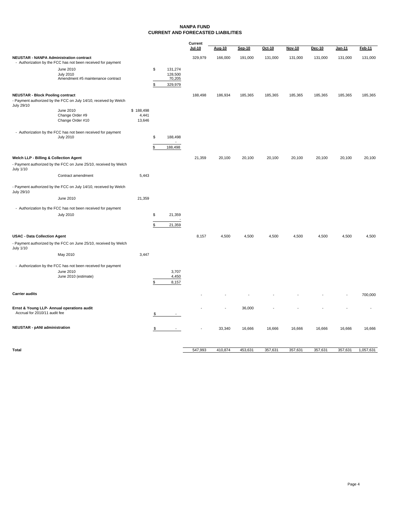#### **NANPA FUND CURRENT AND FORECASTED LIABILITIES**

|                                                                                  |                                                                  |                 | Current |                     |               |         |               |          |               |               |         |         |
|----------------------------------------------------------------------------------|------------------------------------------------------------------|-----------------|---------|---------------------|---------------|---------|---------------|----------|---------------|---------------|---------|---------|
|                                                                                  |                                                                  |                 |         |                     | <b>Jul-10</b> | Aug-10  | <b>Sep-10</b> | $Oct-10$ | <b>Nov-10</b> | <b>Dec-10</b> | Jan-11  | Feb-11  |
| <b>NEUSTAR - NANPA Administration contract</b>                                   | - Authorization by the FCC has not been received for payment     |                 |         |                     | 329,979       | 166,000 | 191,000       | 131,000  | 131,000       | 131,000       | 131,000 | 131,000 |
|                                                                                  | June 2010                                                        |                 | \$      | 131,274             |               |         |               |          |               |               |         |         |
|                                                                                  | <b>July 2010</b><br>Amendment #5 maintenance contract            |                 |         | 128,500<br>70,205   |               |         |               |          |               |               |         |         |
|                                                                                  |                                                                  |                 | Ŝ       | 329,979             |               |         |               |          |               |               |         |         |
|                                                                                  |                                                                  |                 |         |                     |               |         |               |          |               |               |         |         |
| <b>NEUSTAR - Block Pooling contract</b><br>July 29/10                            | - Payment authorized by the FCC on July 14/10, received by Welch |                 |         |                     | 188,498       | 186,934 | 185,365       | 185,365  | 185,365       | 185,365       | 185,365 | 185,365 |
|                                                                                  | June 2010                                                        | \$188,498       |         |                     |               |         |               |          |               |               |         |         |
|                                                                                  | Change Order #9                                                  | 4,441<br>13,646 |         |                     |               |         |               |          |               |               |         |         |
|                                                                                  | Change Order #10                                                 |                 |         |                     |               |         |               |          |               |               |         |         |
| - Authorization by the FCC has not been received for payment<br><b>July 2010</b> |                                                                  |                 | \$      | 188,498             |               |         |               |          |               |               |         |         |
|                                                                                  |                                                                  |                 | \$      | $\omega$<br>188,498 |               |         |               |          |               |               |         |         |
|                                                                                  |                                                                  |                 |         |                     |               |         |               |          |               |               |         |         |
| Welch LLP - Billing & Collection Agent                                           |                                                                  |                 |         |                     | 21,359        | 20,100  | 20,100        | 20,100   | 20,100        | 20,100        | 20,100  | 20,100  |
| July 1/10                                                                        | - Payment authorized by the FCC on June 25/10, received by Welch |                 |         |                     |               |         |               |          |               |               |         |         |
|                                                                                  | Contract amendment                                               | 5,443           |         |                     |               |         |               |          |               |               |         |         |
| July 29/10                                                                       | - Payment authorized by the FCC on July 14/10, received by Welch |                 |         |                     |               |         |               |          |               |               |         |         |
|                                                                                  | June 2010                                                        | 21,359          |         |                     |               |         |               |          |               |               |         |         |
|                                                                                  | - Authorization by the FCC has not been received for payment     |                 |         |                     |               |         |               |          |               |               |         |         |
|                                                                                  | <b>July 2010</b>                                                 |                 | \$      | 21,359              |               |         |               |          |               |               |         |         |
|                                                                                  |                                                                  |                 |         |                     |               |         |               |          |               |               |         |         |
|                                                                                  |                                                                  |                 | \$      | 21,359              |               |         |               |          |               |               |         |         |
| <b>USAC - Data Collection Agent</b>                                              |                                                                  |                 |         |                     | 8,157         | 4,500   | 4,500         | 4,500    | 4,500         | 4,500         | 4,500   | 4,500   |
| July 1/10                                                                        | - Payment authorized by the FCC on June 25/10, received by Welch |                 |         |                     |               |         |               |          |               |               |         |         |
|                                                                                  | May 2010                                                         | 3,447           |         |                     |               |         |               |          |               |               |         |         |
|                                                                                  | - Authorization by the FCC has not been received for payment     |                 |         |                     |               |         |               |          |               |               |         |         |
|                                                                                  | June 2010<br>June 2010 (estimate)                                |                 |         | 3,707<br>4,450      |               |         |               |          |               |               |         |         |
|                                                                                  |                                                                  |                 | \$      | 8,157               |               |         |               |          |               |               |         |         |
|                                                                                  |                                                                  |                 |         |                     |               |         |               |          |               |               |         |         |
| <b>Carrier audits</b>                                                            |                                                                  |                 |         |                     |               |         |               |          |               |               |         | 700,000 |
|                                                                                  |                                                                  |                 |         |                     |               |         |               |          |               |               |         |         |
| Ernst & Young LLP- Annual operations audit<br>Accrual for 2010/11 audit fee      |                                                                  |                 |         |                     |               |         | 36,000        |          |               |               |         |         |
|                                                                                  |                                                                  |                 |         |                     |               |         |               |          |               |               |         |         |
| <b>NEUSTAR - pANI administration</b>                                             |                                                                  |                 | \$      | $\sim$ $-$          |               | 33,340  | 16,666        | 16,666   | 16,666        | 16,666        | 16,666  | 16,666  |
|                                                                                  |                                                                  |                 |         |                     |               |         |               |          |               |               |         |         |
|                                                                                  |                                                                  |                 |         |                     |               |         |               |          |               |               |         |         |

**Total** 453,631 357,631 357,631 357,631 357,631 357,631 357,631 357,631 357,631 357,631 357,631 357,631 357,631 357,631 357,631 357,631 357,631 357,631 357,631 357,631 357,631 357,631 357,631 357,631 357,631 357,631 357,63